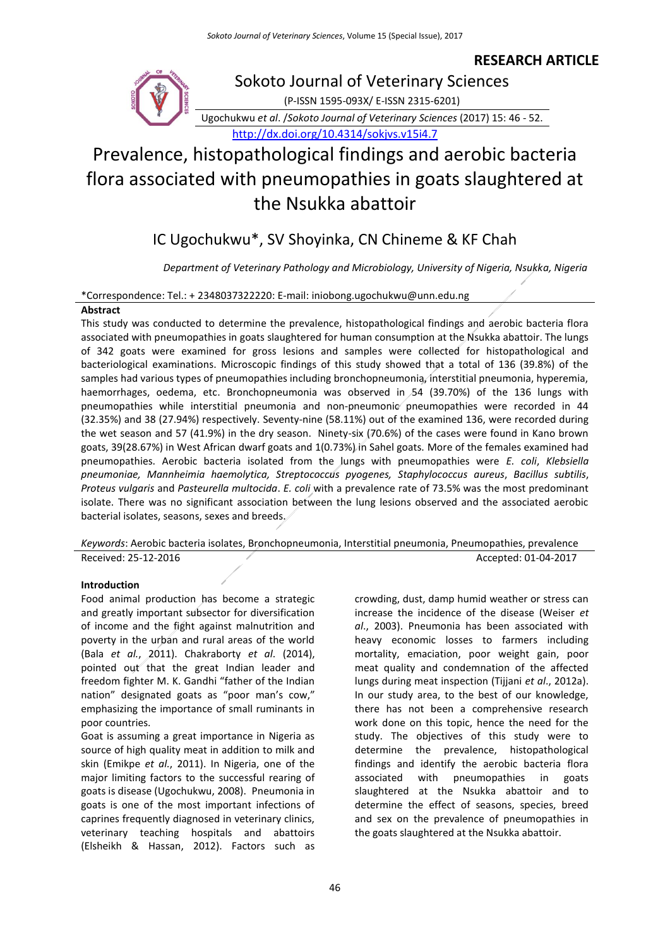### **RESEARCH ARTICLE**



# Prevalence, histopathological findings and aerobic bacteria flora associated with pneumopathies in goats slaughtered at the Nsukka abattoir

## IC Ugochukwu\*, SV Shoyinka, CN Chineme & KF Chah

*Department of Veterinary Pathology and Microbiology, University of Nigeria, Nsukka, Nigeria*

#### \*Correspondence: Tel.: + 2348037322220: E-mail: iniobong.ugochukwu@unn.edu.ng

#### **Abstract**

This study was conducted to determine the prevalence, histopathological findings and aerobic bacteria flora associated with pneumopathies in goats slaughtered for human consumption at the Nsukka abattoir. The lungs of 342 goats were examined for gross lesions and samples were collected for histopathological and bacteriological examinations. Microscopic findings of this study showed that a total of 136 (39.8%) of the samples had various types of pneumopathies including bronchopneumonia, interstitial pneumonia, hyperemia, haemorrhages, oedema, etc. Bronchopneumonia was observed in 54 (39.70%) of the 136 lungs with pneumopathies while interstitial pneumonia and non-pneumonic pneumopathies were recorded in 44 (32.35%) and 38 (27.94%) respectively. Seventy-nine (58.11%) out of the examined 136, were recorded during the wet season and 57 (41.9%) in the dry season. Ninety-six (70.6%) of the cases were found in Kano brown goats, 39(28.67%) in West African dwarf goats and 1(0.73%) in Sahel goats. More of the females examined had pneumopathies. Aerobic bacteria isolated from the lungs with pneumopathies were *E. coli*, *Klebsiella pneumoniae, Mannheimia haemolytica, Streptococcus pyogenes, Staphylococcus aureus*, *Bacillus subtilis*, *Proteus vulgaris* and *Pasteurella multocida*. *E. coli* with a prevalence rate of 73.5% was the most predominant isolate. There was no significant association between the lung lesions observed and the associated aerobic bacterial isolates, seasons, sexes and breeds.

*Keywords*: Aerobic bacteria isolates, Bronchopneumonia, Interstitial pneumonia, Pneumopathies, prevalence Received: 25-12-2016 Accepted: 01-04-2017

#### **Introduction**

Food animal production has become a strategic and greatly important subsector for diversification of income and the fight against malnutrition and poverty in the urban and rural areas of the world (Bala *et al.*, 2011). Chakraborty *et al*. (2014), pointed out that the great Indian leader and freedom fighter M. K. Gandhi "father of the Indian nation" designated goats as "poor man's cow," emphasizing the importance of small ruminants in poor countries.

Goat is assuming a great importance in Nigeria as source of high quality meat in addition to milk and skin (Emikpe *et al.*, 2011). In Nigeria, one of the major limiting factors to the successful rearing of goats is disease (Ugochukwu, 2008). Pneumonia in goats is one of the most important infections of caprines frequently diagnosed in veterinary clinics, veterinary teaching hospitals and abattoirs (Elsheikh & Hassan, 2012). Factors such as

crowding, dust, damp humid weather or stress can increase the incidence of the disease (Weiser *et al*., 2003). Pneumonia has been associated with heavy economic losses to farmers including mortality, emaciation, poor weight gain, poor meat quality and condemnation of the affected lungs during meat inspection (Tijjani *et al*., 2012a). In our study area, to the best of our knowledge, there has not been a comprehensive research work done on this topic, hence the need for the study. The objectives of this study were to determine the prevalence, histopathological findings and identify the aerobic bacteria flora associated with pneumopathies in goats slaughtered at the Nsukka abattoir and to determine the effect of seasons, species, breed and sex on the prevalence of pneumopathies in the goats slaughtered at the Nsukka abattoir.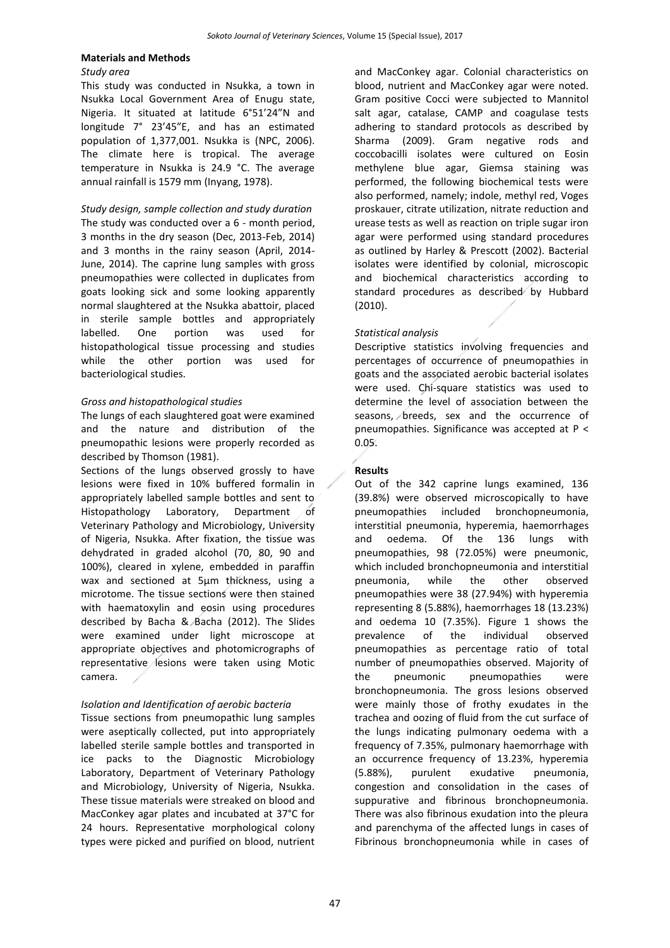#### **Materials and Methods**

#### *Study area*

This study was conducted in Nsukka, a town in Nsukka Local Government Area of Enugu state, Nigeria. It situated at latitude 6°51'24"N and longitude 7° 23'45"E, and has an estimated population of 1,377,001. Nsukka is (NPC, 2006). The climate here is tropical. The average temperature in Nsukka is 24.9 °C. The average annual rainfall is 1579 mm (Inyang, 1978).

*Study design, sample collection and study duration* The study was conducted over a 6 - month period, 3 months in the dry season (Dec, 2013-Feb, 2014) and 3 months in the rainy season (April, 2014- June, 2014). The caprine lung samples with gross pneumopathies were collected in duplicates from goats looking sick and some looking apparently normal slaughtered at the Nsukka abattoir, placed in sterile sample bottles and appropriately labelled. One portion was used for histopathological tissue processing and studies while the other portion was used for bacteriological studies.

#### *Gross and histopathological studies*

The lungs of each slaughtered goat were examined and the nature and distribution of the pneumopathic lesions were properly recorded as described by Thomson (1981).

Sections of the lungs observed grossly to have lesions were fixed in 10% buffered formalin in appropriately labelled sample bottles and sent to Histopathology Laboratory, Department of Veterinary Pathology and Microbiology, University of Nigeria, Nsukka. After fixation, the tissue was dehydrated in graded alcohol (70, 80, 90 and 100%), cleared in xylene, embedded in paraffin wax and sectioned at 5µm thickness, using a microtome. The tissue sections were then stained with haematoxylin and eosin using procedures described by Bacha & Bacha (2012). The Slides were examined under light microscope at appropriate objectives and photomicrographs of representative lesions were taken using Motic camera.

#### *Isolation and Identification of aerobic bacteria*

Tissue sections from pneumopathic lung samples were aseptically collected, put into appropriately labelled sterile sample bottles and transported in ice packs to the Diagnostic Microbiology Laboratory, Department of Veterinary Pathology and Microbiology, University of Nigeria, Nsukka. These tissue materials were streaked on blood and MacConkey agar plates and incubated at 37°C for 24 hours. Representative morphological colony types were picked and purified on blood, nutrient and MacConkey agar. Colonial characteristics on blood, nutrient and MacConkey agar were noted. Gram positive Cocci were subjected to Mannitol salt agar, catalase, CAMP and coagulase tests adhering to standard protocols as described by Sharma (2009). Gram negative rods and coccobacilli isolates were cultured on Eosin methylene blue agar, Giemsa staining was performed, the following biochemical tests were also performed, namely; indole, methyl red, Voges proskauer, citrate utilization, nitrate reduction and urease tests as well as reaction on triple sugar iron agar were performed using standard procedures as outlined by Harley & Prescott (2002). Bacterial isolates were identified by colonial, microscopic and biochemical characteristics according to standard procedures as described by Hubbard (2010).

#### *Statistical analysis*

Descriptive statistics involving frequencies and percentages of occurrence of pneumopathies in goats and the associated aerobic bacterial isolates were used. Chi-square statistics was used to determine the level of association between the seasons, *breeds*, sex and the occurrence of pneumopathies. Significance was accepted at P < 0.05.

#### **Results**

Out of the 342 caprine lungs examined, 136 (39.8%) were observed microscopically to have pneumopathies included bronchopneumonia, interstitial pneumonia, hyperemia, haemorrhages and oedema. Of the 136 lungs with pneumopathies, 98 (72.05%) were pneumonic, which included bronchopneumonia and interstitial pneumonia, while the other observed pneumopathies were 38 (27.94%) with hyperemia representing 8 (5.88%), haemorrhages 18 (13.23%) and oedema 10 (7.35%). Figure 1 shows the prevalence of the individual observed pneumopathies as percentage ratio of total number of pneumopathies observed. Majority of the pneumonic pneumopathies were bronchopneumonia. The gross lesions observed were mainly those of frothy exudates in the trachea and oozing of fluid from the cut surface of the lungs indicating pulmonary oedema with a frequency of 7.35%, pulmonary haemorrhage with an occurrence frequency of 13.23%, hyperemia (5.88%), purulent exudative pneumonia, congestion and consolidation in the cases of suppurative and fibrinous bronchopneumonia. There was also fibrinous exudation into the pleura and parenchyma of the affected lungs in cases of Fibrinous bronchopneumonia while in cases of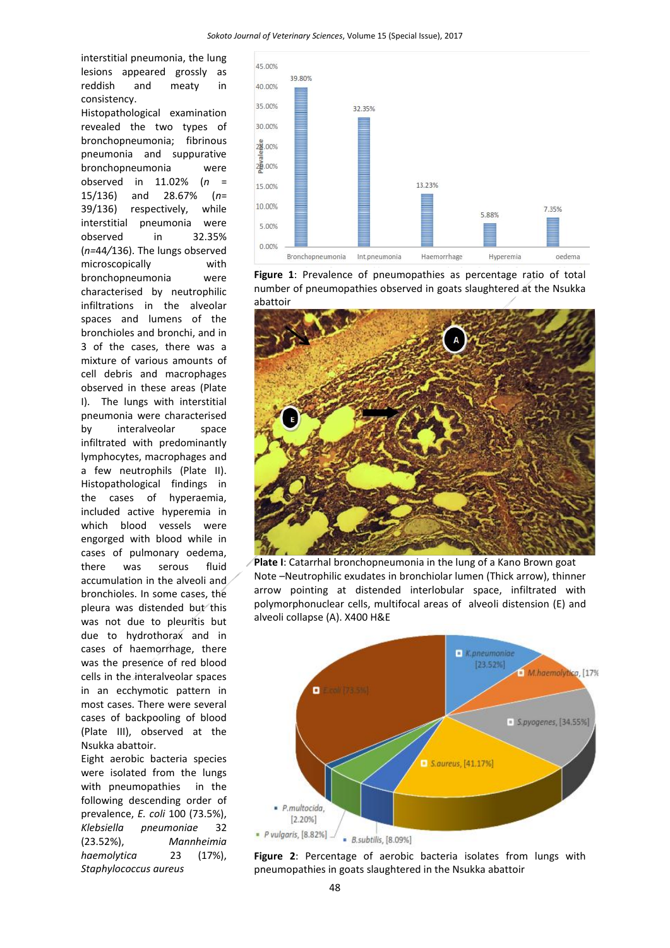interstitial pneumonia, the lung lesions appeared grossly as reddish and meaty in consistency.

Histopathological examination revealed the two types of bronchopneumonia; fibrinous pneumonia and suppurative bronchopneumonia were observed in 11.02% (*n* = 15/136) and 28.67% (*n*= 39/136) respectively, while interstitial pneumonia were observed in 32.35% (*n=*44*/*136). The lungs observed microscopically with bronchopneumonia were characterised by neutrophilic infiltrations in the alveolar spaces and lumens of the bronchioles and bronchi, and in 3 of the cases, there was a mixture of various amounts of cell debris and macrophages observed in these areas (Plate I). The lungs with interstitial pneumonia were characterised by interalveolar space infiltrated with predominantly lymphocytes, macrophages and a few neutrophils (Plate II). Histopathological findings in the cases of hyperaemia, included active hyperemia in which blood vessels were engorged with blood while in cases of pulmonary oedema, there was serous fluid accumulation in the alveoli and bronchioles. In some cases, the pleura was distended but this was not due to pleuritis but due to hydrothorax and in cases of haemorrhage, there was the presence of red blood cells in the interalveolar spaces in an ecchymotic pattern in most cases. There were several cases of backpooling of blood (Plate III), observed at the Nsukka abattoir.

Eight aerobic bacteria species were isolated from the lungs with pneumopathies in the following descending order of prevalence, *E. coli* 100 (73.5%), *Klebsiella pneumoniae* 32 (23.52%), *Mannheimia haemolytica* 23 (17%), *Staphylococcus aureus*



**Figure 1**: Prevalence of pneumopathies as percentage ratio of total number of pneumopathies observed in goats slaughtered at the Nsukka abattoir



**Plate I**: Catarrhal bronchopneumonia in the lung of a Kano Brown goat Note –Neutrophilic exudates in bronchiolar lumen (Thick arrow), thinner arrow pointing at distended interlobular space, infiltrated with polymorphonuclear cells, multifocal areas of alveoli distension (E) and alveoli collapse (A). X400 H&E



**Figure 2**: Percentage of aerobic bacteria isolates from lungs with pneumopathies in goats slaughtered in the Nsukka abattoir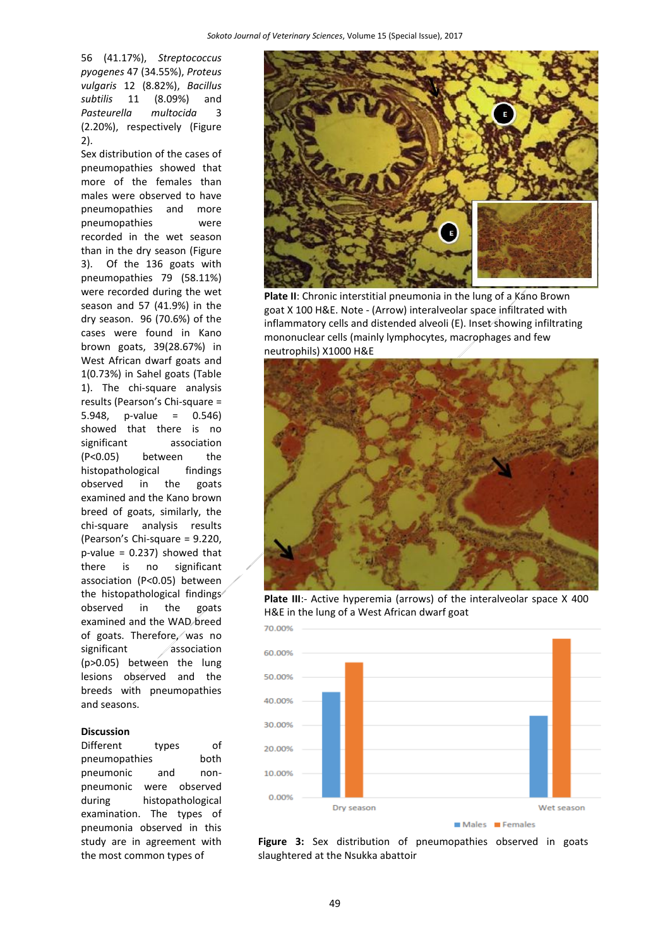56 (41.17%), *Streptococcus pyogenes* 47 (34.55%), *Proteus vulgaris* 12 (8.82%), *Bacillus subtilis* 11 (8.09%) and *Pasteurella multocida* 3 (2.20%), respectively (Figure 2).

Sex distribution of the cases of pneumopathies showed that more of the females than males were observed to have pneumopathies and more pneumopathies were recorded in the wet season than in the dry season (Figure 3). Of the 136 goats with pneumopathies 79 (58.11%) were recorded during the wet season and 57 (41.9%) in the dry season. 96 (70.6%) of the cases were found in Kano brown goats, 39(28.67%) in West African dwarf goats and 1(0.73%) in Sahel goats (Table 1). The chi-square analysis results (Pearson's Chi-square = 5.948, p-value = 0.546) showed that there is no significant association (P<0.05) between the histopathological findings observed in the goats examined and the Kano brown breed of goats, similarly, the chi-square analysis results (Pearson's Chi-square = 9.220,  $p$ -value = 0.237) showed that there is no significant association (P<0.05) between the histopathological findings observed in the goats examined and the WAD breed of goats. Therefore, was no significant association (p>0.05) between the lung lesions observed and the breeds with pneumopathies and seasons.

#### **Discussion**

Different types of pneumopathies both pneumonic and nonpneumonic were observed during histopathological examination. The types of pneumonia observed in this study are in agreement with the most common types of



Plate II: Chronic interstitial pneumonia in the lung of a Kano Brown goat X 100 H&E. Note - (Arrow) interalveolar space infiltrated with inflammatory cells and distended alveoli (E). Inset showing infiltrating mononuclear cells (mainly lymphocytes, macrophages and few neutrophils) X1000 H&E



Plate III:- Active hyperemia (arrows) of the interalveolar space X 400 H&E in the lung of a West African dwarf goat



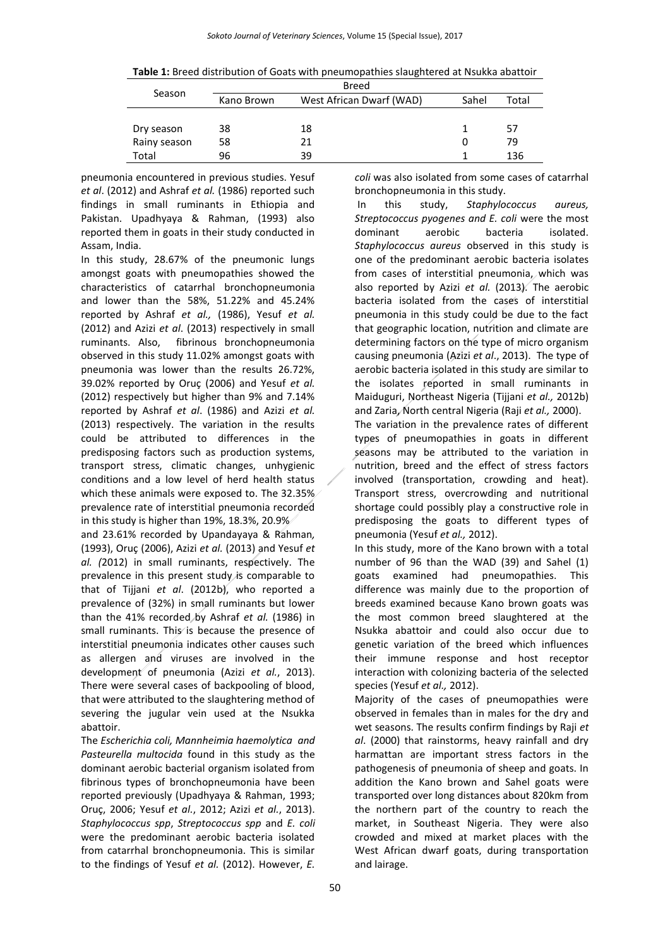| Season       | Breed      |                          |       |       |
|--------------|------------|--------------------------|-------|-------|
|              | Kano Brown | West African Dwarf (WAD) | Sahel | Total |
|              |            |                          |       |       |
| Dry season   | 38         | 18                       |       | 57    |
| Rainy season | 58         | 21                       |       | 79    |
| Total        | 96         | 39                       |       | 136   |

pneumonia encountered in previous studies. Yesuf *et al*. (2012) and Ashraf *et al.* (1986) reported such findings in small ruminants in Ethiopia and Pakistan. Upadhyaya & Rahman, (1993) also reported them in goats in their study conducted in Assam, India.

In this study, 28.67% of the pneumonic lungs amongst goats with pneumopathies showed the characteristics of catarrhal bronchopneumonia and lower than the 58%, 51.22% and 45.24% reported by Ashraf *et al.,* (1986), Yesuf *et al.*  (2012) and Azizi *et al*. (2013) respectively in small ruminants. Also, fibrinous bronchopneumonia observed in this study 11.02% amongst goats with pneumonia was lower than the results 26.72%, 39.02% reported by Oruç (2006) and Yesuf *et al.*  (2012) respectively but higher than 9% and 7.14% reported by Ashraf *et al*. (1986) and Azizi *et al.*  (2013) respectively. The variation in the results could be attributed to differences in the predisposing factors such as production systems, transport stress, climatic changes, unhygienic conditions and a low level of herd health status which these animals were exposed to. The 32.35% prevalence rate of interstitial pneumonia recorded in this study is higher than 19%, 18.3%, 20.9%

and 23.61% recorded by Upandayaya & Rahman*,*  (1993), Oruç (2006), Azizi *et al.* (2013) and Yesuf *et al. (*2012) in small ruminants, respectively. The prevalence in this present study is comparable to that of Tijjani *et al*. (2012b), who reported a prevalence of (32%) in small ruminants but lower than the 41% recorded by Ashraf *et al.* (1986) in small ruminants. This is because the presence of interstitial pneumonia indicates other causes such as allergen and viruses are involved in the development of pneumonia (Azizi *et al.*, 2013). There were several cases of backpooling of blood, that were attributed to the slaughtering method of severing the jugular vein used at the Nsukka abattoir.

The *Escherichia coli, Mannheimia haemolytica and Pasteurella multocida* found in this study as the dominant aerobic bacterial organism isolated from fibrinous types of bronchopneumonia have been reported previously (Upadhyaya & Rahman, 1993; Oruç, 2006; Yesuf *et al.*, 2012; Azizi *et al.*, 2013). *Staphylococcus spp*, *Streptococcus spp* and *E. coli* were the predominant aerobic bacteria isolated from catarrhal bronchopneumonia. This is similar to the findings of Yesuf *et al.* (2012). However, *E.* 

*coli* was also isolated from some cases of catarrhal bronchopneumonia in this study.

In this study, *Staphylococcus aureus, Streptococcus pyogenes and E. coli* were the most dominant aerobic bacteria isolated. *Staphylococcus aureus* observed in this study is one of the predominant aerobic bacteria isolates from cases of interstitial pneumonia, which was also reported by Azizi *et al.* (2013). The aerobic bacteria isolated from the cases of interstitial pneumonia in this study could be due to the fact that geographic location, nutrition and climate are determining factors on the type of micro organism causing pneumonia (Azizi *et al*., 2013). The type of aerobic bacteria isolated in this study are similar to the isolates reported in small ruminants in Maiduguri, Northeast Nigeria (Tijjani *et al.,* 2012b) and Zaria, North central Nigeria (Raji *et al.,* 2000).

The variation in the prevalence rates of different types of pneumopathies in goats in different seasons may be attributed to the variation in nutrition, breed and the effect of stress factors involved (transportation, crowding and heat). Transport stress, overcrowding and nutritional shortage could possibly play a constructive role in predisposing the goats to different types of pneumonia (Yesuf *et al.,* 2012).

In this study, more of the Kano brown with a total number of 96 than the WAD (39) and Sahel (1) goats examined had pneumopathies. This difference was mainly due to the proportion of breeds examined because Kano brown goats was the most common breed slaughtered at the Nsukka abattoir and could also occur due to genetic variation of the breed which influences their immune response and host receptor interaction with colonizing bacteria of the selected species (Yesuf *et al.,* 2012).

Majority of the cases of pneumopathies were observed in females than in males for the dry and wet seasons. The results confirm findings by Raji *et al*. (2000) that rainstorms, heavy rainfall and dry harmattan are important stress factors in the pathogenesis of pneumonia of sheep and goats. In addition the Kano brown and Sahel goats were transported over long distances about 820km from the northern part of the country to reach the market, in Southeast Nigeria. They were also crowded and mixed at market places with the West African dwarf goats, during transportation and lairage.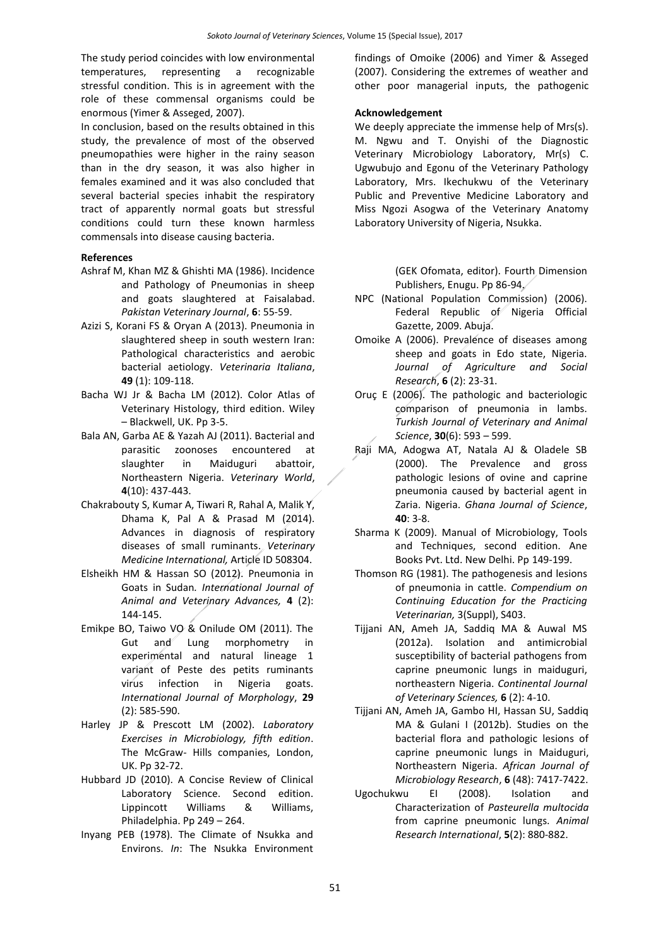The study period coincides with low environmental temperatures, representing a recognizable stressful condition. This is in agreement with the role of these commensal organisms could be enormous (Yimer & Asseged, 2007).

In conclusion, based on the results obtained in this study, the prevalence of most of the observed pneumopathies were higher in the rainy season than in the dry season, it was also higher in females examined and it was also concluded that several bacterial species inhabit the respiratory tract of apparently normal goats but stressful conditions could turn these known harmless commensals into disease causing bacteria.

#### **References**

- Ashraf M, Khan MZ & Ghishti MA (1986). Incidence and Pathology of Pneumonias in sheep and goats slaughtered at Faisalabad. *Pakistan Veterinary Journal*, **6**: 55-59.
- Azizi S, Korani FS & Oryan A (2013). Pneumonia in slaughtered sheep in south western Iran: Pathological characteristics and aerobic bacterial aetiology. *Veterinaria Italiana*, **49** (1): 109-118.
- Bacha WJ Jr & Bacha LM (2012). Color Atlas of Veterinary Histology, third edition. Wiley – Blackwell, UK. Pp 3-5.
- Bala AN, Garba AE & Yazah AJ (2011). Bacterial and parasitic zoonoses encountered at slaughter in Maiduguri abattoir, Northeastern Nigeria. *Veterinary World*, **4**(10): 437-443.
- Chakrabouty S, Kumar A, Tiwari R, Rahal A, Malik Y, Dhama K, Pal A & Prasad M (2014). Advances in diagnosis of respiratory diseases of small ruminants. *Veterinary Medicine International,* Article ID 508304.
- Elsheikh HM & Hassan SO (2012). Pneumonia in Goats in Sudan*. International Journal of Animal and Veterinary Advances,* **4** (2): 144-145.
- Emikpe BO, Taiwo VO & Onilude OM (2011). The Gut and Lung morphometry in experimental and natural lineage 1 variant of Peste des petits ruminants virus infection in Nigeria goats. *International Journal of Morphology*, **29**  (2): 585-590.
- Harley JP & Prescott LM (2002). *Laboratory Exercises in Microbiology, fifth edition*. The McGraw- Hills companies, London, UK. Pp 32-72.
- Hubbard JD (2010). A Concise Review of Clinical Laboratory Science. Second edition. Lippincott Williams & Williams, Philadelphia. Pp 249 – 264.
- Inyang PEB (1978). The Climate of Nsukka and Environs. *In*: The Nsukka Environment

findings of Omoike (2006) and Yimer & Asseged (2007). Considering the extremes of weather and other poor managerial inputs, the pathogenic

#### **Acknowledgement**

We deeply appreciate the immense help of Mrs(s). M. Ngwu and T. Onyishi of the Diagnostic Veterinary Microbiology Laboratory, Mr(s) C. Ugwubujo and Egonu of the Veterinary Pathology Laboratory, Mrs. Ikechukwu of the Veterinary Public and Preventive Medicine Laboratory and Miss Ngozi Asogwa of the Veterinary Anatomy Laboratory University of Nigeria, Nsukka.

> (GEK Ofomata, editor). Fourth Dimension Publishers, Enugu. Pp 86-94.

- NPC (National Population Commission) (2006). Federal Republic of Nigeria Official Gazette, 2009. Abuja.
- Omoike A (2006). Prevalence of diseases among sheep and goats in Edo state, Nigeria. *Journal of Agriculture and Social Research*, **6** (2): 23-31.
- Oruç E (2006). The pathologic and bacteriologic comparison of pneumonia in lambs. *Turkish Journal of Veterinary and Animal Science*, **30**(6): 593 – 599.
- Raji MA, Adogwa AT, Natala AJ & Oladele SB (2000). The Prevalence and gross pathologic lesions of ovine and caprine pneumonia caused by bacterial agent in Zaria. Nigeria. *Ghana Journal of Science*, **40**: 3-8.
- Sharma K (2009). Manual of Microbiology, Tools and Techniques, second edition. Ane Books Pvt. Ltd. New Delhi. Pp 149-199.
- Thomson RG (1981). The pathogenesis and lesions of pneumonia in cattle. *Compendium on Continuing Education for the Practicing Veterinarian,* 3(Suppl), S403.
- Tijjani AN, Ameh JA, Saddiq MA & Auwal MS (2012a). Isolation and antimicrobial susceptibility of bacterial pathogens from caprine pneumonic lungs in maiduguri, northeastern Nigeria. *Continental Journal of Veterinary Sciences,* **6** (2): 4-10.
- Tijjani AN, Ameh JA, Gambo HI, Hassan SU, Saddiq MA & Gulani I (2012b). Studies on the bacterial flora and pathologic lesions of caprine pneumonic lungs in Maiduguri, Northeastern Nigeria. *African Journal of Microbiology Research*, **6** (48): 7417-7422.
- Ugochukwu EI (2008). Isolation and Characterization of *Pasteurella multocida* from caprine pneumonic lungs. *Animal Research International*, **5**(2): 880-882.